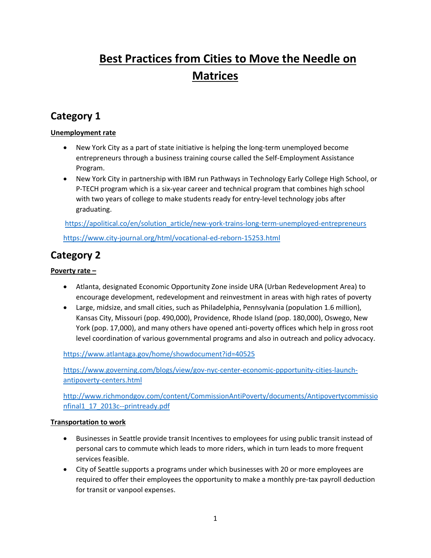# **Best Practices from Cities to Move the Needle on Matrices**

## **Category 1**

#### **Unemployment rate**

- New York City as a part of state initiative is helping the long-term unemployed become entrepreneurs through a business training course called the Self-Employment Assistance Program.
- New York City in partnership with IBM run Pathways in Technology Early College High School, or P-TECH program which is a six-year career and technical program that combines high school with two years of college to make students ready for entry-level technology jobs after graduating.

[https://apolitical.co/en/solution\\_article/new-york-trains-long-term-unemployed-entrepreneurs](https://apolitical.co/en/solution_article/new-york-trains-long-term-unemployed-entrepreneurs) <https://www.city-journal.org/html/vocational-ed-reborn-15253.html>

### **Category 2**

#### **Poverty rate –**

- Atlanta, designated Economic Opportunity Zone inside URA (Urban Redevelopment Area) to encourage development, redevelopment and reinvestment in areas with high rates of poverty
- Large, midsize, and small cities, such as Philadelphia, Pennsylvania (population 1.6 million), Kansas City, Missouri (pop. 490,000), Providence, Rhode Island (pop. 180,000), Oswego, New York (pop. 17,000), and many others have opened anti-poverty offices which help in gross root level coordination of various governmental programs and also in outreach and policy advocacy.

<https://www.atlantaga.gov/home/showdocument?id=40525>

[https://www.governing.com/blogs/view/gov-nyc-center-economic-ppportunity-cities-launch](https://www.governing.com/blogs/view/gov-nyc-center-economic-ppportunity-cities-launch-antipoverty-centers.html)[antipoverty-centers.html](https://www.governing.com/blogs/view/gov-nyc-center-economic-ppportunity-cities-launch-antipoverty-centers.html)

[http://www.richmondgov.com/content/CommissionAntiPoverty/documents/Antipovertycommissio](http://www.richmondgov.com/content/CommissionAntiPoverty/documents/Antipovertycommissionfinal1_17_2013c--printready.pdf) [nfinal1\\_17\\_2013c--printready.pdf](http://www.richmondgov.com/content/CommissionAntiPoverty/documents/Antipovertycommissionfinal1_17_2013c--printready.pdf)

#### **Transportation to work**

- Businesses in Seattle provide transit Incentives to employees for using public transit instead of personal cars to commute which leads to more riders, which in turn leads to more frequent services feasible.
- City of Seattle supports a programs under which businesses with 20 or more employees are required to offer their employees the opportunity to make a monthly pre-tax payroll deduction for transit or vanpool expenses.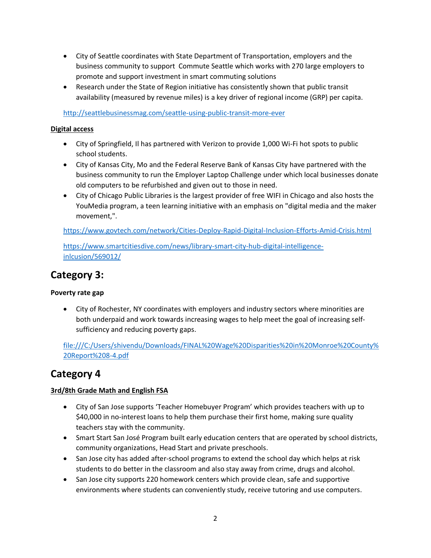- City of Seattle coordinates with State Department of Transportation, employers and the business community to support Commute Seattle which works with 270 large employers to promote and support investment in smart commuting solutions
- Research under the State of Region initiative has consistently shown that public transit availability (measured by revenue miles) is a key driver of regional income (GRP) per capita.

<http://seattlebusinessmag.com/seattle-using-public-transit-more-ever>

#### **Digital access**

- City of Springfield, Il has partnered with Verizon to provide 1,000 Wi-Fi hot spots to public school students.
- City of Kansas City, Mo and the Federal Reserve Bank of Kansas City have partnered with the business community to run the Employer Laptop Challenge under which local businesses donate old computers to be refurbished and given out to those in need.
- City of Chicago Public Libraries is the largest provider of free WIFI in Chicago and also hosts the YouMedia program, a teen learning initiative with an emphasis on "digital media and the maker movement,".

<https://www.govtech.com/network/Cities-Deploy-Rapid-Digital-Inclusion-Efforts-Amid-Crisis.html>

[https://www.smartcitiesdive.com/news/library-smart-city-hub-digital-intelligence](https://www.smartcitiesdive.com/news/library-smart-city-hub-digital-intelligence-inlcusion/569012/)[inlcusion/569012/](https://www.smartcitiesdive.com/news/library-smart-city-hub-digital-intelligence-inlcusion/569012/)

## **Category 3:**

#### **Poverty rate gap**

• City of Rochester, NY coordinates with employers and industry sectors where minorities are both underpaid and work towards increasing wages to help meet the goal of increasing selfsufficiency and reducing poverty gaps.

file:///C:/Users/shivendu/Downloads/FINAL%20Wage%20Disparities%20in%20Monroe%20County% 20Report%208-4.pdf

### **Category 4**

#### **3rd/8th Grade Math and English FSA**

- City of San Jose supports 'Teacher Homebuyer Program' which provides teachers with up to \$40,000 in no-interest loans to help them purchase their first home, making sure quality teachers stay with the community.
- Smart Start San José Program built early education centers that are operated by school districts, community organizations, Head Start and private preschools.
- San Jose city has added after-school programs to extend the school day which helps at risk students to do better in the classroom and also stay away from crime, drugs and alcohol.
- San Jose city supports 220 homework centers which provide clean, safe and supportive environments where students can conveniently study, receive tutoring and use computers.